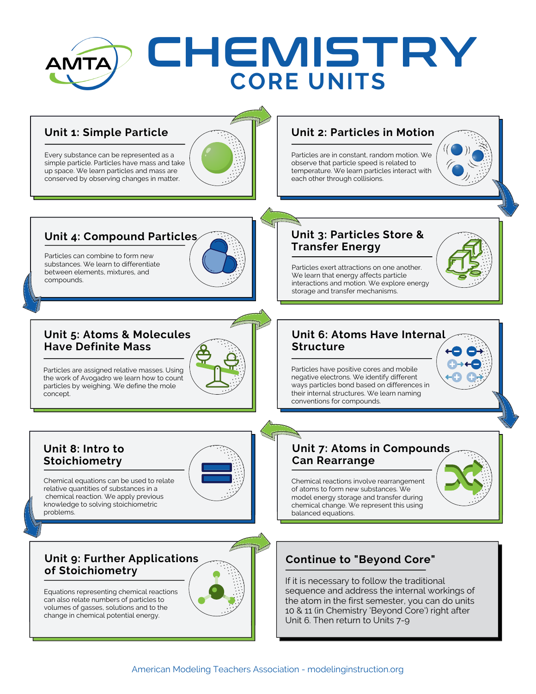# CHEMISTRY AMTA **CORE UNITS**